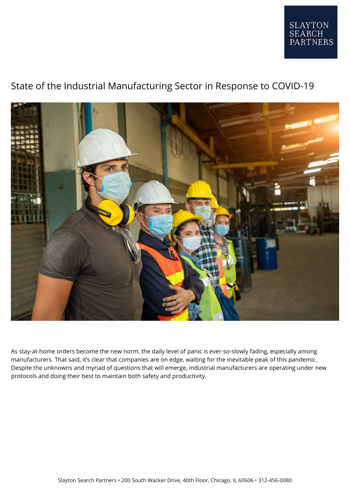

## State of the Industrial Manufacturing Sector in Response to COVID-19



As stay-at-home orders become the new norm, the daily level of panic is ever-so-slowly fading, especially among manufacturers. That said, it's clear that companies are on edge, waiting for the inevitable peak of this pandemic. Despite the unknowns and myriad of questions that will emerge, industrial manufacturers are operating under new protocols and doing their best to maintain both safety and productivity.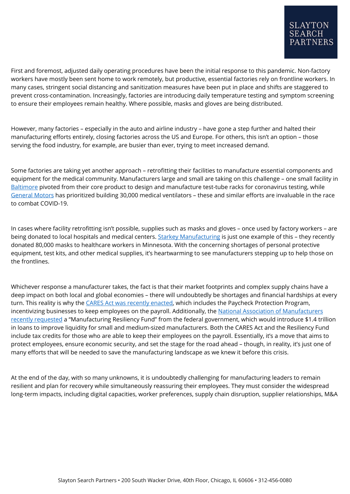First and foremost, adjusted daily operating procedures have been the initial response to this pandemic. Non-factory workers have mostly been sent home to work remotely, but productive, essential factories rely on frontline workers. In many cases, stringent social distancing and sanitization measures have been put in place and shifts are staggered to prevent cross-contamination. Increasingly, factories are introducing daily temperature testing and symptom screening to ensure their employees remain healthy. Where possible, masks and gloves are being distributed.

However, many factories – especially in the auto and airline industry – have gone a step further and halted their manufacturing efforts entirely, closing factories across the US and Europe. For others, this isn't an option – those serving the food industry, for example, are busier than ever, trying to meet increased demand.

Some factories are taking yet another approach – retrofitting their facilities to manufacture essential components and equipment for the medical community. Manufacturers large and small are taking on this challenge – one small facility in [Baltimore](https://www.nam.org/manufacturer-racks-up-new-product-in-covid-19-response-7574/?stream=business-operations&utm_source=link&utm_medium=social) pivoted from their core product to design and manufacture test-tube racks for coronavirus testing, while [General Motors](https://www.npr.org/sections/coronavirus-live-updates/2020/04/08/829657257/gm-will-build-30-000-ventilators-for-u-s-government) has prioritized building 30,000 medical ventilators – these and similar efforts are invaluable in the race to combat COVID-19.

In cases where facility retrofitting isn't possible, supplies such as masks and gloves – once used by factory workers – are being donated to local hospitals and medical centers. [Starkey Manufacturing](https://medicalalley.org/2020/03/starkey-donates-80000-masks-to-healthcare-workers/) is just one example of this - they recently donated 80,000 masks to healthcare workers in Minnesota. With the concerning shortages of personal protective equipment, test kits, and other medical supplies, it's heartwarming to see manufacturers stepping up to help those on the frontlines.

Whichever response a manufacturer takes, the fact is that their market footprints and complex supply chains have a deep impact on both local and global economies – there will undoubtedly be shortages and financial hardships at every turn. This reality is why the [CARES Act was recently enacted,](https://www.nam.org/cares-act-offers-support-for-manufacturers-affected-by-covid-19-7658/?stream=business-operations) which includes the Paycheck Protection Program, incentivizing businesses to keep employees on the payroll. Additionally, the [National Association of Manufacturers](https://www.nam.org/manufacturers-call-for-1-4-trillion-covid-19-resiliency-fund-7498/?) [recently requested](https://www.nam.org/manufacturers-call-for-1-4-trillion-covid-19-resiliency-fund-7498/?) a "Manufacturing Resiliency Fund" from the federal government, which would introduce \$1.4 trillion in loans to improve liquidity for small and medium-sized manufacturers. Both the CARES Act and the Resiliency Fund include tax credits for those who are able to keep their employees on the payroll. Essentially, it's a move that aims to protect employees, ensure economic security, and set the stage for the road ahead – though, in reality, it's just one of many efforts that will be needed to save the manufacturing landscape as we knew it before this crisis.

At the end of the day, with so many unknowns, it is undoubtedly challenging for manufacturing leaders to remain resilient and plan for recovery while simultaneously reassuring their employees. They must consider the widespread long-term impacts, including digital capacities, worker preferences, supply chain disruption, supplier relationships, M&A